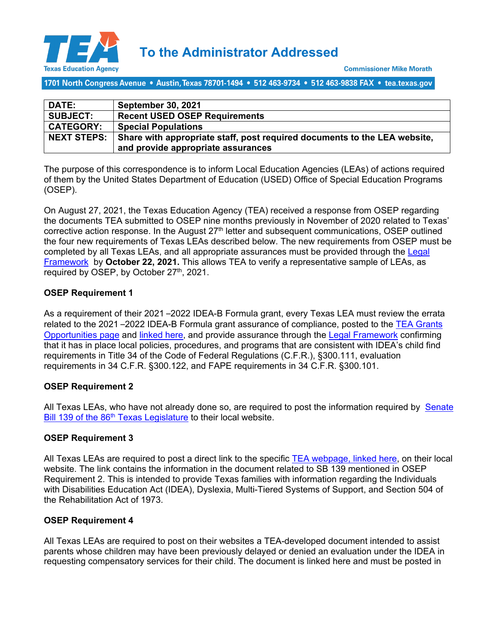

**To the Administrator Addressed**

1701 North Congress Avenue • Austin, Texas 78701-1494 • 512 463-9734 • 512 463-9838 FAX • tea.texas.gov

| <b>DATE:</b>       | <b>September 30, 2021</b>                                                 |
|--------------------|---------------------------------------------------------------------------|
| <b>SUBJECT:</b>    | <b>Recent USED OSEP Requirements</b>                                      |
| <b>CATEGORY:</b>   | <b>Special Populations</b>                                                |
| <b>NEXT STEPS:</b> | Share with appropriate staff, post required documents to the LEA website, |
|                    | and provide appropriate assurances                                        |

The purpose of this correspondence is to inform Local Education Agencies (LEAs) of actions required of them by the United States Department of Education (USED) Office of Special Education Programs (OSEP).

On August 27, 2021, the Texas Education Agency (TEA) received a response from OSEP regarding the documents TEA submitted to OSEP nine months previously in November of 2020 related to Texas' corrective action response. In the August 27<sup>th</sup> letter and subsequent communications, OSEP outlined the four new requirements of Texas LEAs described below. The new requirements from OSEP must be completed by all Texas LEAs, and all appropriate assurances must be provided through the [Legal](http://framework.esc18.net/display/Webforms/ESC18-FW-LandingPage.aspx)  [Framework](http://framework.esc18.net/display/Webforms/ESC18-FW-LandingPage.aspx) by **October 22, 2021.** This allows TEA to verify a representative sample of LEAs, as required by OSEP, by October 27<sup>th</sup>, 2021.

## **OSEP Requirement 1**

As a requirement of their 2021 –2022 IDEA-B Formula grant, every Texas LEA must review the errata related to the 2021 –2022 IDEA-B Formula grant assurance of compliance, posted to the [TEA Grants](https://tea4avalonzo.tea.state.tx.us/GrantOpportunities/forms/GrantProgramDetails.aspx)  [Opportunities page](https://tea4avalonzo.tea.state.tx.us/GrantOpportunities/forms/GrantProgramDetails.aspx) and [linked here,](https://tea4avcastro.tea.state.tx.us/eGrants/21-22/22660001/errata1.pdf) and provide assurance through the [Legal Framework](http://framework.esc18.net/display/Webforms/ESC18-FW-LandingPage.aspx) confirming that it has in place local policies, procedures, and programs that are consistent with IDEA's child find requirements in Title 34 of the Code of Federal Regulations (C.F.R.), §300.111, evaluation requirements in 34 C.F.R. §300.122, and FAPE requirements in 34 C.F.R. §300.101.

## **OSEP Requirement 2**

All Texas LEAs, who have not already done so, are required to post the information required by [Senate](https://tea.texas.gov/about-tea/news-and-multimedia/correspondence/taa-letters/senate-bill-139-notice-to-families)  Bill 139 of the 86<sup>th</sup> Texas Legislature to their local website.

## **OSEP Requirement 3**

All Texas LEAs are required to post a direct link to the specific [TEA webpage, linked here,](https://tea.texas.gov/academics/special-student-populations/special-education/resources) on their local website. The link contains the information in the document related to SB 139 mentioned in OSEP Requirement 2. This is intended to provide Texas families with information regarding the Individuals with Disabilities Education Act (IDEA), Dyslexia, Multi-Tiered Systems of Support, and Section 504 of the Rehabilitation Act of 1973.

## **OSEP Requirement 4**

All Texas LEAs are required to post on their websites a TEA-developed document intended to assist parents whose children may have been previously delayed or denied an evaluation under the IDEA in requesting compensatory services for their child. The document is linked here and must be posted in